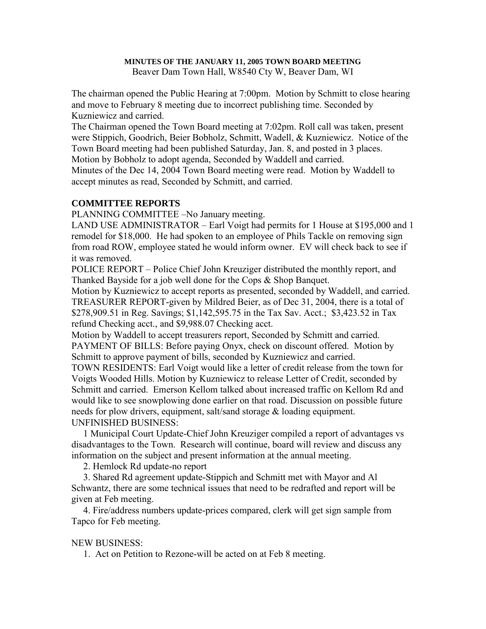# **MINUTES OF THE JANUARY 11, 2005 TOWN BOARD MEETING**

Beaver Dam Town Hall, W8540 Cty W, Beaver Dam, WI

The chairman opened the Public Hearing at 7:00pm. Motion by Schmitt to close hearing and move to February 8 meeting due to incorrect publishing time. Seconded by Kuzniewicz and carried.

The Chairman opened the Town Board meeting at 7:02pm. Roll call was taken, present were Stippich, Goodrich, Beier Bobholz, Schmitt, Wadell, & Kuzniewicz. Notice of the Town Board meeting had been published Saturday, Jan. 8, and posted in 3 places. Motion by Bobholz to adopt agenda, Seconded by Waddell and carried.

Minutes of the Dec 14, 2004 Town Board meeting were read. Motion by Waddell to accept minutes as read, Seconded by Schmitt, and carried.

# **COMMITTEE REPORTS**

PLANNING COMMITTEE –No January meeting.

LAND USE ADMINISTRATOR – Earl Voigt had permits for 1 House at \$195,000 and 1 remodel for \$18,000. He had spoken to an employee of Phils Tackle on removing sign from road ROW, employee stated he would inform owner. EV will check back to see if it was removed.

POLICE REPORT – Police Chief John Kreuziger distributed the monthly report, and Thanked Bayside for a job well done for the Cops & Shop Banquet.

Motion by Kuzniewicz to accept reports as presented, seconded by Waddell, and carried. TREASURER REPORT-given by Mildred Beier, as of Dec 31, 2004, there is a total of \$278,909.51 in Reg. Savings; \$1,142,595.75 in the Tax Sav. Acct.; \$3,423.52 in Tax refund Checking acct., and \$9,988.07 Checking acct.

Motion by Waddell to accept treasurers report, Seconded by Schmitt and carried. PAYMENT OF BILLS: Before paying Onyx, check on discount offered. Motion by Schmitt to approve payment of bills, seconded by Kuzniewicz and carried.

TOWN RESIDENTS: Earl Voigt would like a letter of credit release from the town for Voigts Wooded Hills. Motion by Kuzniewicz to release Letter of Credit, seconded by Schmitt and carried. Emerson Kellom talked about increased traffic on Kellom Rd and would like to see snowplowing done earlier on that road. Discussion on possible future needs for plow drivers, equipment, salt/sand storage & loading equipment. UNFINISHED BUSINESS:

 1 Municipal Court Update-Chief John Kreuziger compiled a report of advantages vs disadvantages to the Town. Research will continue, board will review and discuss any information on the subject and present information at the annual meeting.

2. Hemlock Rd update-no report

 3. Shared Rd agreement update-Stippich and Schmitt met with Mayor and Al Schwantz, there are some technical issues that need to be redrafted and report will be given at Feb meeting.

 4. Fire/address numbers update-prices compared, clerk will get sign sample from Tapco for Feb meeting.

# NEW BUSINESS:

1. Act on Petition to Rezone-will be acted on at Feb 8 meeting.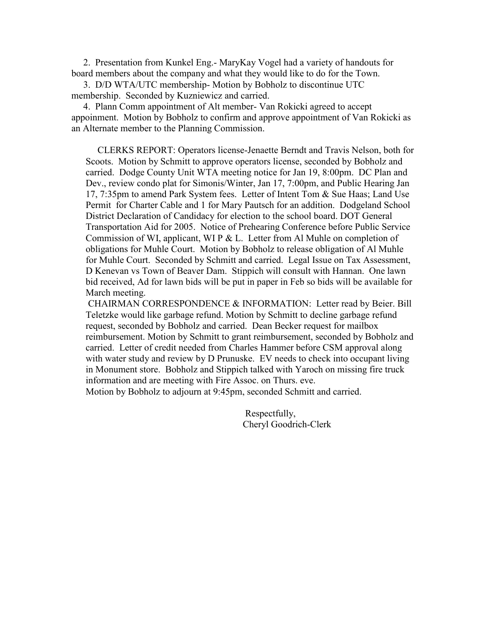2. Presentation from Kunkel Eng.- MaryKay Vogel had a variety of handouts for board members about the company and what they would like to do for the Town.

 3. D/D WTA/UTC membership- Motion by Bobholz to discontinue UTC membership. Seconded by Kuzniewicz and carried.

 4. Plann Comm appointment of Alt member- Van Rokicki agreed to accept appoinment. Motion by Bobholz to confirm and approve appointment of Van Rokicki as an Alternate member to the Planning Commission.

 CLERKS REPORT: Operators license-Jenaette Berndt and Travis Nelson, both for Scoots. Motion by Schmitt to approve operators license, seconded by Bobholz and carried. Dodge County Unit WTA meeting notice for Jan 19, 8:00pm. DC Plan and Dev., review condo plat for Simonis/Winter, Jan 17, 7:00pm, and Public Hearing Jan 17, 7:35pm to amend Park System fees. Letter of Intent Tom & Sue Haas; Land Use Permit for Charter Cable and 1 for Mary Pautsch for an addition. Dodgeland School District Declaration of Candidacy for election to the school board. DOT General Transportation Aid for 2005. Notice of Prehearing Conference before Public Service Commission of WI, applicant, WI P & L. Letter from Al Muhle on completion of obligations for Muhle Court. Motion by Bobholz to release obligation of Al Muhle for Muhle Court. Seconded by Schmitt and carried. Legal Issue on Tax Assessment, D Kenevan vs Town of Beaver Dam. Stippich will consult with Hannan. One lawn bid received, Ad for lawn bids will be put in paper in Feb so bids will be available for March meeting.

CHAIRMAN CORRESPONDENCE & INFORMATION: Letter read by Beier. Bill Teletzke would like garbage refund. Motion by Schmitt to decline garbage refund request, seconded by Bobholz and carried. Dean Becker request for mailbox reimbursement. Motion by Schmitt to grant reimbursement, seconded by Bobholz and carried. Letter of credit needed from Charles Hammer before CSM approval along with water study and review by D Prunuske. EV needs to check into occupant living in Monument store. Bobholz and Stippich talked with Yaroch on missing fire truck information and are meeting with Fire Assoc. on Thurs. eve.

Motion by Bobholz to adjourn at 9:45pm, seconded Schmitt and carried.

 Respectfully, Cheryl Goodrich-Clerk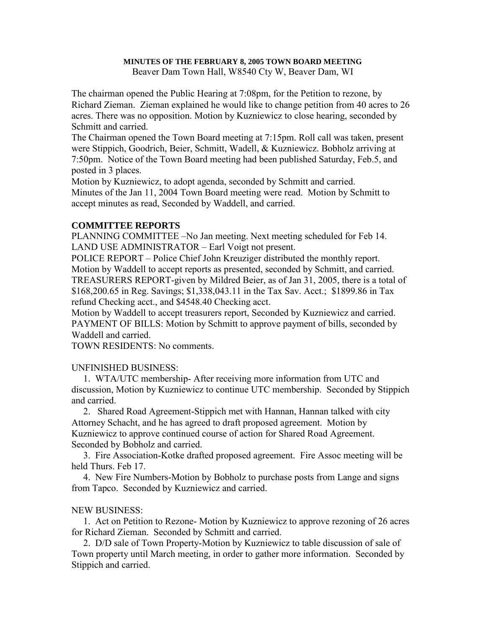#### **MINUTES OF THE FEBRUARY 8, 2005 TOWN BOARD MEETING**

Beaver Dam Town Hall, W8540 Cty W, Beaver Dam, WI

The chairman opened the Public Hearing at 7:08pm, for the Petition to rezone, by Richard Zieman. Zieman explained he would like to change petition from 40 acres to 26 acres. There was no opposition. Motion by Kuzniewicz to close hearing, seconded by Schmitt and carried.

The Chairman opened the Town Board meeting at 7:15pm. Roll call was taken, present were Stippich, Goodrich, Beier, Schmitt, Wadell, & Kuzniewicz. Bobholz arriving at 7:50pm. Notice of the Town Board meeting had been published Saturday, Feb.5, and posted in 3 places.

Motion by Kuzniewicz, to adopt agenda, seconded by Schmitt and carried. Minutes of the Jan 11, 2004 Town Board meeting were read. Motion by Schmitt to accept minutes as read, Seconded by Waddell, and carried.

#### **COMMITTEE REPORTS**

PLANNING COMMITTEE –No Jan meeting. Next meeting scheduled for Feb 14. LAND USE ADMINISTRATOR – Earl Voigt not present.

POLICE REPORT – Police Chief John Kreuziger distributed the monthly report. Motion by Waddell to accept reports as presented, seconded by Schmitt, and carried. TREASURERS REPORT-given by Mildred Beier, as of Jan 31, 2005, there is a total of \$168,200.65 in Reg. Savings; \$1,338,043.11 in the Tax Sav. Acct.; \$1899.86 in Tax refund Checking acct., and \$4548.40 Checking acct.

Motion by Waddell to accept treasurers report, Seconded by Kuzniewicz and carried. PAYMENT OF BILLS: Motion by Schmitt to approve payment of bills, seconded by Waddell and carried.

TOWN RESIDENTS: No comments.

#### UNFINISHED BUSINESS:

 1. WTA/UTC membership- After receiving more information from UTC and discussion, Motion by Kuzniewicz to continue UTC membership. Seconded by Stippich and carried.

 2. Shared Road Agreement-Stippich met with Hannan, Hannan talked with city Attorney Schacht, and he has agreed to draft proposed agreement. Motion by Kuzniewicz to approve continued course of action for Shared Road Agreement. Seconded by Bobholz and carried.

 3. Fire Association-Kotke drafted proposed agreement. Fire Assoc meeting will be held Thurs. Feb 17.

 4. New Fire Numbers-Motion by Bobholz to purchase posts from Lange and signs from Tapco. Seconded by Kuzniewicz and carried.

#### NEW BUSINESS:

 1. Act on Petition to Rezone- Motion by Kuzniewicz to approve rezoning of 26 acres for Richard Zieman. Seconded by Schmitt and carried.

 2. D/D sale of Town Property-Motion by Kuzniewicz to table discussion of sale of Town property until March meeting, in order to gather more information. Seconded by Stippich and carried.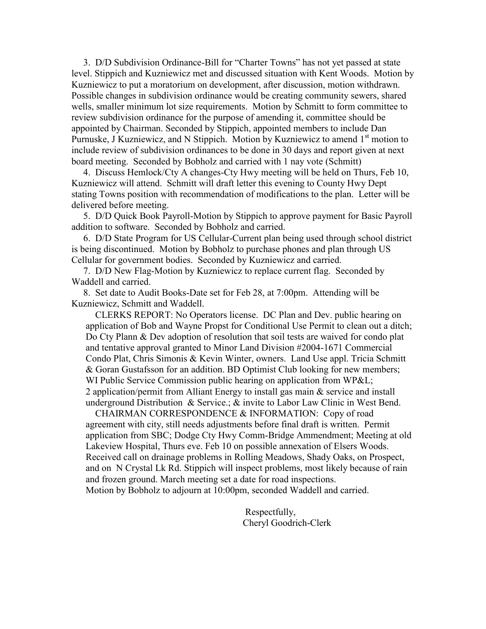3. D/D Subdivision Ordinance-Bill for "Charter Towns" has not yet passed at state level. Stippich and Kuzniewicz met and discussed situation with Kent Woods. Motion by Kuzniewicz to put a moratorium on development, after discussion, motion withdrawn. Possible changes in subdivision ordinance would be creating community sewers, shared wells, smaller minimum lot size requirements. Motion by Schmitt to form committee to review subdivision ordinance for the purpose of amending it, committee should be appointed by Chairman. Seconded by Stippich, appointed members to include Dan Purnuske, J Kuzniewicz, and N Stippich. Motion by Kuzniewicz to amend  $1<sup>st</sup>$  motion to include review of subdivision ordinances to be done in 30 days and report given at next board meeting. Seconded by Bobholz and carried with 1 nay vote (Schmitt)

 4. Discuss Hemlock/Cty A changes-Cty Hwy meeting will be held on Thurs, Feb 10, Kuzniewicz will attend. Schmitt will draft letter this evening to County Hwy Dept stating Towns position with recommendation of modifications to the plan. Letter will be delivered before meeting.

 5. D/D Quick Book Payroll-Motion by Stippich to approve payment for Basic Payroll addition to software. Seconded by Bobholz and carried.

 6. D/D State Program for US Cellular-Current plan being used through school district is being discontinued. Motion by Bobholz to purchase phones and plan through US Cellular for government bodies. Seconded by Kuzniewicz and carried.

 7. D/D New Flag-Motion by Kuzniewicz to replace current flag. Seconded by Waddell and carried.

 8. Set date to Audit Books-Date set for Feb 28, at 7:00pm. Attending will be Kuzniewicz, Schmitt and Waddell.

 CLERKS REPORT: No Operators license. DC Plan and Dev. public hearing on application of Bob and Wayne Propst for Conditional Use Permit to clean out a ditch; Do Cty Plann & Dev adoption of resolution that soil tests are waived for condo plat and tentative approval granted to Minor Land Division #2004-1671 Commercial Condo Plat, Chris Simonis & Kevin Winter, owners. Land Use appl. Tricia Schmitt & Goran Gustafsson for an addition. BD Optimist Club looking for new members; WI Public Service Commission public hearing on application from WP&L; 2 application/permit from Alliant Energy to install gas main & service and install underground Distribution & Service.; & invite to Labor Law Clinic in West Bend.

 CHAIRMAN CORRESPONDENCE & INFORMATION: Copy of road agreement with city, still needs adjustments before final draft is written. Permit application from SBC; Dodge Cty Hwy Comm-Bridge Ammendment; Meeting at old Lakeview Hospital, Thurs eve. Feb 10 on possible annexation of Elsers Woods. Received call on drainage problems in Rolling Meadows, Shady Oaks, on Prospect, and on N Crystal Lk Rd. Stippich will inspect problems, most likely because of rain and frozen ground. March meeting set a date for road inspections. Motion by Bobholz to adjourn at 10:00pm, seconded Waddell and carried.

> Respectfully, Cheryl Goodrich-Clerk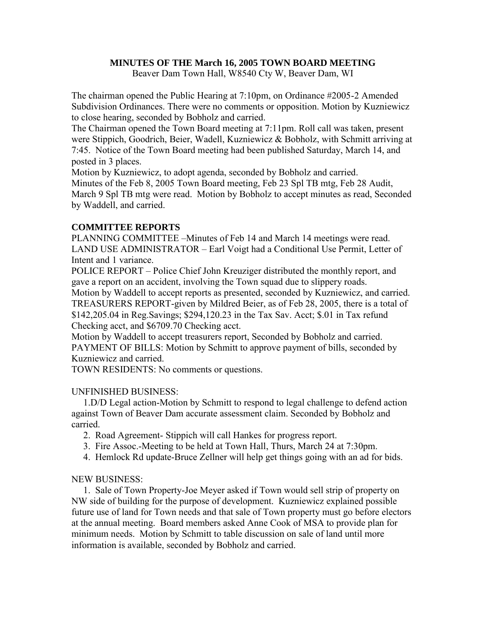# **MINUTES OF THE March 16, 2005 TOWN BOARD MEETING**

Beaver Dam Town Hall, W8540 Cty W, Beaver Dam, WI

The chairman opened the Public Hearing at 7:10pm, on Ordinance #2005-2 Amended Subdivision Ordinances. There were no comments or opposition. Motion by Kuzniewicz to close hearing, seconded by Bobholz and carried.

The Chairman opened the Town Board meeting at 7:11pm. Roll call was taken, present were Stippich, Goodrich, Beier, Wadell, Kuzniewicz & Bobholz, with Schmitt arriving at 7:45. Notice of the Town Board meeting had been published Saturday, March 14, and posted in 3 places.

Motion by Kuzniewicz, to adopt agenda, seconded by Bobholz and carried.

Minutes of the Feb 8, 2005 Town Board meeting, Feb 23 Spl TB mtg, Feb 28 Audit, March 9 Spl TB mtg were read. Motion by Bobholz to accept minutes as read, Seconded by Waddell, and carried.

# **COMMITTEE REPORTS**

PLANNING COMMITTEE –Minutes of Feb 14 and March 14 meetings were read. LAND USE ADMINISTRATOR – Earl Voigt had a Conditional Use Permit, Letter of Intent and 1 variance.

POLICE REPORT – Police Chief John Kreuziger distributed the monthly report, and gave a report on an accident, involving the Town squad due to slippery roads.

Motion by Waddell to accept reports as presented, seconded by Kuzniewicz, and carried. TREASURERS REPORT-given by Mildred Beier, as of Feb 28, 2005, there is a total of \$142,205.04 in Reg.Savings; \$294,120.23 in the Tax Sav. Acct; \$.01 in Tax refund Checking acct, and \$6709.70 Checking acct.

Motion by Waddell to accept treasurers report, Seconded by Bobholz and carried. PAYMENT OF BILLS: Motion by Schmitt to approve payment of bills, seconded by Kuzniewicz and carried.

TOWN RESIDENTS: No comments or questions.

#### UNFINISHED BUSINESS:

 1.D/D Legal action-Motion by Schmitt to respond to legal challenge to defend action against Town of Beaver Dam accurate assessment claim. Seconded by Bobholz and carried.

- 2. Road Agreement- Stippich will call Hankes for progress report.
- 3. Fire Assoc.-Meeting to be held at Town Hall, Thurs, March 24 at 7:30pm.
- 4. Hemlock Rd update-Bruce Zellner will help get things going with an ad for bids.

# NEW BUSINESS:

 1. Sale of Town Property-Joe Meyer asked if Town would sell strip of property on NW side of building for the purpose of development. Kuzniewicz explained possible future use of land for Town needs and that sale of Town property must go before electors at the annual meeting. Board members asked Anne Cook of MSA to provide plan for minimum needs. Motion by Schmitt to table discussion on sale of land until more information is available, seconded by Bobholz and carried.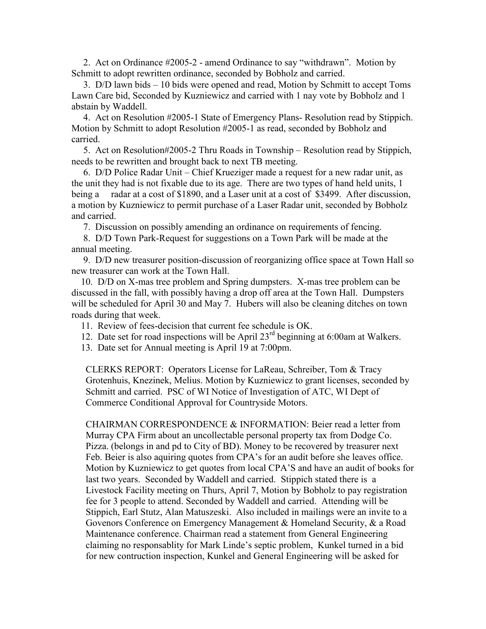2. Act on Ordinance #2005-2 - amend Ordinance to say "withdrawn". Motion by Schmitt to adopt rewritten ordinance, seconded by Bobholz and carried.

 3. D/D lawn bids – 10 bids were opened and read, Motion by Schmitt to accept Toms Lawn Care bid, Seconded by Kuzniewicz and carried with 1 nay vote by Bobholz and 1 abstain by Waddell.

 4. Act on Resolution #2005-1 State of Emergency Plans- Resolution read by Stippich. Motion by Schmitt to adopt Resolution #2005-1 as read, seconded by Bobholz and carried.

 5. Act on Resolution#2005-2 Thru Roads in Township – Resolution read by Stippich, needs to be rewritten and brought back to next TB meeting.

 6. D/D Police Radar Unit – Chief Krueziger made a request for a new radar unit, as the unit they had is not fixable due to its age. There are two types of hand held units, 1 being a radar at a cost of \$1890, and a Laser unit at a cost of \$3499. After discussion, a motion by Kuzniewicz to permit purchase of a Laser Radar unit, seconded by Bobholz and carried.

7. Discussion on possibly amending an ordinance on requirements of fencing.

 8. D/D Town Park-Request for suggestions on a Town Park will be made at the annual meeting.

 9. D/D new treasurer position-discussion of reorganizing office space at Town Hall so new treasurer can work at the Town Hall.

 10. D/D on X-mas tree problem and Spring dumpsters. X-mas tree problem can be discussed in the fall, with possibly having a drop off area at the Town Hall. Dumpsters will be scheduled for April 30 and May 7. Hubers will also be cleaning ditches on town roads during that week.

11. Review of fees-decision that current fee schedule is OK.

12. Date set for road inspections will be April 23rd beginning at 6:00am at Walkers.

13. Date set for Annual meeting is April 19 at 7:00pm.

CLERKS REPORT: Operators License for LaReau, Schreiber, Tom & Tracy Grotenhuis, Knezinek, Melius. Motion by Kuzniewicz to grant licenses, seconded by Schmitt and carried. PSC of WI Notice of Investigation of ATC, WI Dept of Commerce Conditional Approval for Countryside Motors.

CHAIRMAN CORRESPONDENCE & INFORMATION: Beier read a letter from Murray CPA Firm about an uncollectable personal property tax from Dodge Co. Pizza. (belongs in and pd to City of BD). Money to be recovered by treasurer next Feb. Beier is also aquiring quotes from CPA's for an audit before she leaves office. Motion by Kuzniewicz to get quotes from local CPA'S and have an audit of books for last two years. Seconded by Waddell and carried. Stippich stated there is a Livestock Facility meeting on Thurs, April 7, Motion by Bobholz to pay registration fee for 3 people to attend. Seconded by Waddell and carried. Attending will be Stippich, Earl Stutz, Alan Matuszeski. Also included in mailings were an invite to a Govenors Conference on Emergency Management & Homeland Security, & a Road Maintenance conference. Chairman read a statement from General Engineering claiming no responsablity for Mark Linde's septic problem, Kunkel turned in a bid for new contruction inspection, Kunkel and General Engineering will be asked for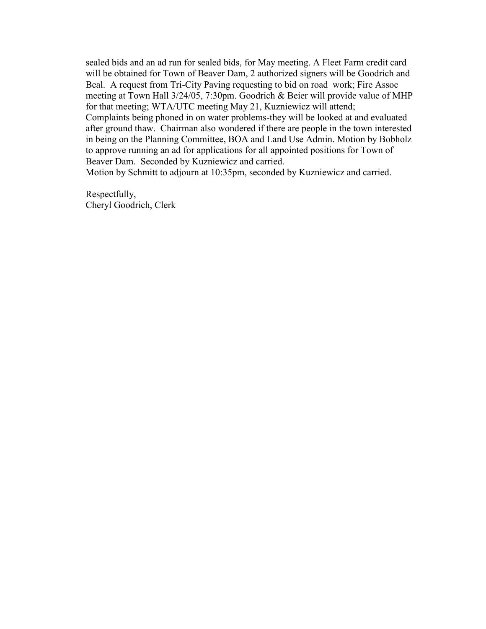sealed bids and an ad run for sealed bids, for May meeting. A Fleet Farm credit card will be obtained for Town of Beaver Dam, 2 authorized signers will be Goodrich and Beal. A request from Tri-City Paving requesting to bid on road work; Fire Assoc meeting at Town Hall 3/24/05, 7:30pm. Goodrich & Beier will provide value of MHP for that meeting; WTA/UTC meeting May 21, Kuzniewicz will attend; Complaints being phoned in on water problems-they will be looked at and evaluated after ground thaw. Chairman also wondered if there are people in the town interested in being on the Planning Committee, BOA and Land Use Admin. Motion by Bobholz to approve running an ad for applications for all appointed positions for Town of Beaver Dam. Seconded by Kuzniewicz and carried. Motion by Schmitt to adjourn at 10:35pm, seconded by Kuzniewicz and carried.

Respectfully, Cheryl Goodrich, Clerk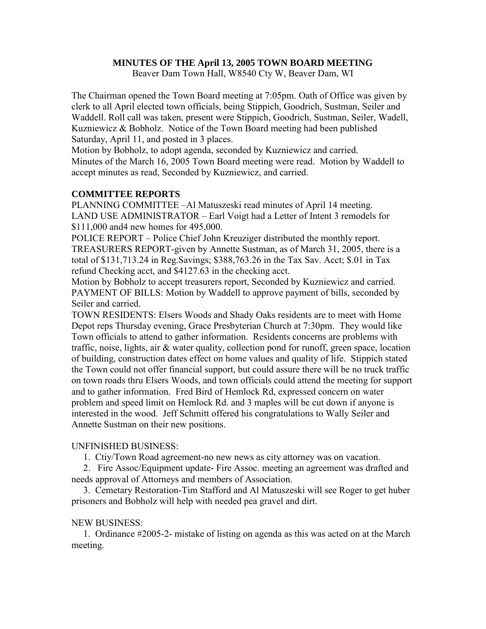# **MINUTES OF THE April 13, 2005 TOWN BOARD MEETING**

Beaver Dam Town Hall, W8540 Cty W, Beaver Dam, WI

The Chairman opened the Town Board meeting at 7:05pm. Oath of Office was given by clerk to all April elected town officials, being Stippich, Goodrich, Sustman, Seiler and Waddell. Roll call was taken, present were Stippich, Goodrich, Sustman, Seiler, Wadell, Kuzniewicz & Bobholz. Notice of the Town Board meeting had been published Saturday, April 11, and posted in 3 places.

Motion by Bobholz, to adopt agenda, seconded by Kuzniewicz and carried. Minutes of the March 16, 2005 Town Board meeting were read. Motion by Waddell to accept minutes as read, Seconded by Kuzniewicz, and carried.

# **COMMITTEE REPORTS**

PLANNING COMMITTEE –Al Matuszeski read minutes of April 14 meeting. LAND USE ADMINISTRATOR – Earl Voigt had a Letter of Intent 3 remodels for \$111,000 and4 new homes for 495,000.

POLICE REPORT – Police Chief John Kreuziger distributed the monthly report. TREASURERS REPORT-given by Annette Sustman, as of March 31, 2005, there is a total of \$131,713.24 in Reg.Savings; \$388,763.26 in the Tax Sav. Acct; \$.01 in Tax refund Checking acct, and \$4127.63 in the checking acct.

Motion by Bobholz to accept treasurers report, Seconded by Kuzniewicz and carried. PAYMENT OF BILLS: Motion by Waddell to approve payment of bills, seconded by Seiler and carried.

TOWN RESIDENTS: Elsers Woods and Shady Oaks residents are to meet with Home Depot reps Thursday evening, Grace Presbyterian Church at 7:30pm. They would like Town officials to attend to gather information. Residents concerns are problems with traffic, noise, lights, air & water quality, collection pond for runoff, green space, location of building, construction dates effect on home values and quality of life. Stippich stated the Town could not offer financial support, but could assure there will be no truck traffic on town roads thru Elsers Woods, and town officials could attend the meeting for support and to gather information. Fred Bird of Hemlock Rd, expressed concern on water problem and speed limit on Hemlock Rd. and 3 maples will be cut down if anyone is interested in the wood. Jeff Schmitt offered his congratulations to Wally Seiler and Annette Sustman on their new positions.

#### UNFINISHED BUSINESS:

1. Ctiy/Town Road agreement-no new news as city attorney was on vacation.

 2. Fire Assoc/Equipment update- Fire Assoc. meeting an agreement was drafted and needs approval of Attorneys and members of Association.

 3. Cemetary Restoration-Tim Stafford and Al Matuszeski will see Roger to get huber prisoners and Bobholz will help with needed pea gravel and dirt.

#### NEW BUSINESS:

 1. Ordinance #2005-2- mistake of listing on agenda as this was acted on at the March meeting.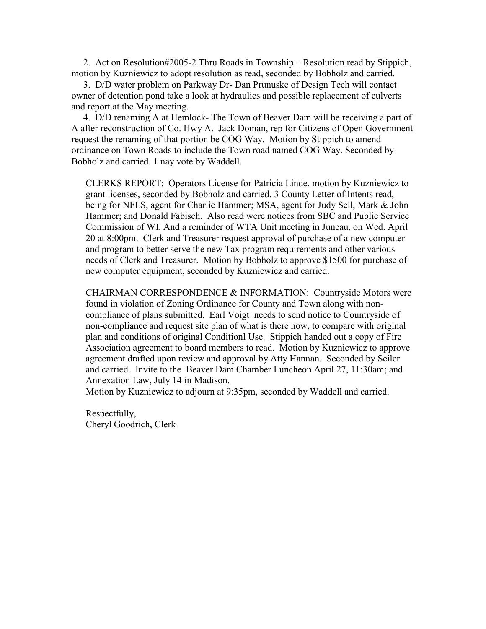2. Act on Resolution#2005-2 Thru Roads in Township – Resolution read by Stippich, motion by Kuzniewicz to adopt resolution as read, seconded by Bobholz and carried.

 3. D/D water problem on Parkway Dr- Dan Prunuske of Design Tech will contact owner of detention pond take a look at hydraulics and possible replacement of culverts and report at the May meeting.

 4. D/D renaming A at Hemlock- The Town of Beaver Dam will be receiving a part of A after reconstruction of Co. Hwy A. Jack Doman, rep for Citizens of Open Government request the renaming of that portion be COG Way. Motion by Stippich to amend ordinance on Town Roads to include the Town road named COG Way. Seconded by Bobholz and carried. 1 nay vote by Waddell.

CLERKS REPORT: Operators License for Patricia Linde, motion by Kuzniewicz to grant licenses, seconded by Bobholz and carried. 3 County Letter of Intents read, being for NFLS, agent for Charlie Hammer; MSA, agent for Judy Sell, Mark & John Hammer; and Donald Fabisch. Also read were notices from SBC and Public Service Commission of WI. And a reminder of WTA Unit meeting in Juneau, on Wed. April 20 at 8:00pm. Clerk and Treasurer request approval of purchase of a new computer and program to better serve the new Tax program requirements and other various needs of Clerk and Treasurer. Motion by Bobholz to approve \$1500 for purchase of new computer equipment, seconded by Kuzniewicz and carried.

CHAIRMAN CORRESPONDENCE & INFORMATION: Countryside Motors were found in violation of Zoning Ordinance for County and Town along with noncompliance of plans submitted. Earl Voigt needs to send notice to Countryside of non-compliance and request site plan of what is there now, to compare with original plan and conditions of original Conditionl Use. Stippich handed out a copy of Fire Association agreement to board members to read. Motion by Kuzniewicz to approve agreement drafted upon review and approval by Atty Hannan. Seconded by Seiler and carried. Invite to the Beaver Dam Chamber Luncheon April 27, 11:30am; and Annexation Law, July 14 in Madison.

Motion by Kuzniewicz to adjourn at 9:35pm, seconded by Waddell and carried.

Respectfully, Cheryl Goodrich, Clerk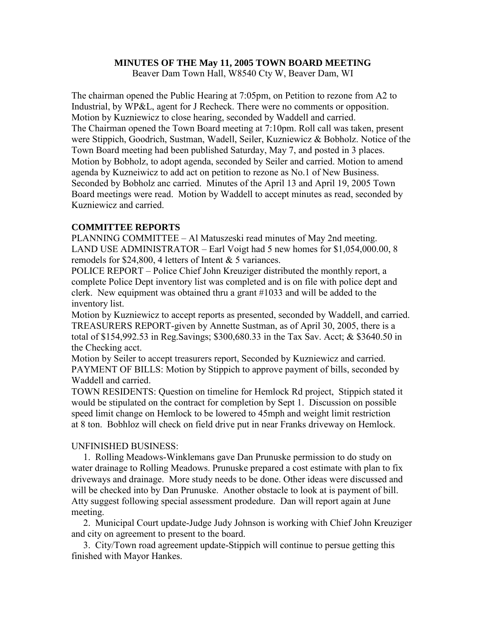#### **MINUTES OF THE May 11, 2005 TOWN BOARD MEETING**

Beaver Dam Town Hall, W8540 Cty W, Beaver Dam, WI

The chairman opened the Public Hearing at 7:05pm, on Petition to rezone from A2 to Industrial, by WP&L, agent for J Recheck. There were no comments or opposition. Motion by Kuzniewicz to close hearing, seconded by Waddell and carried. The Chairman opened the Town Board meeting at 7:10pm. Roll call was taken, present were Stippich, Goodrich, Sustman, Wadell, Seiler, Kuzniewicz & Bobholz. Notice of the Town Board meeting had been published Saturday, May 7, and posted in 3 places. Motion by Bobholz, to adopt agenda, seconded by Seiler and carried. Motion to amend agenda by Kuzneiwicz to add act on petition to rezone as No.1 of New Business. Seconded by Bobholz anc carried. Minutes of the April 13 and April 19, 2005 Town Board meetings were read. Motion by Waddell to accept minutes as read, seconded by Kuzniewicz and carried.

#### **COMMITTEE REPORTS**

PLANNING COMMITTEE – Al Matuszeski read minutes of May 2nd meeting. LAND USE ADMINISTRATOR – Earl Voigt had 5 new homes for \$1,054,000.00, 8 remodels for \$24,800, 4 letters of Intent & 5 variances.

POLICE REPORT – Police Chief John Kreuziger distributed the monthly report, a complete Police Dept inventory list was completed and is on file with police dept and clerk. New equipment was obtained thru a grant #1033 and will be added to the inventory list.

Motion by Kuzniewicz to accept reports as presented, seconded by Waddell, and carried. TREASURERS REPORT-given by Annette Sustman, as of April 30, 2005, there is a total of \$154,992.53 in Reg.Savings; \$300,680.33 in the Tax Sav. Acct; & \$3640.50 in the Checking acct.

Motion by Seiler to accept treasurers report, Seconded by Kuzniewicz and carried. PAYMENT OF BILLS: Motion by Stippich to approve payment of bills, seconded by Waddell and carried.

TOWN RESIDENTS: Question on timeline for Hemlock Rd project, Stippich stated it would be stipulated on the contract for completion by Sept 1. Discussion on possible speed limit change on Hemlock to be lowered to 45mph and weight limit restriction at 8 ton. Bobhloz will check on field drive put in near Franks driveway on Hemlock.

#### UNFINISHED BUSINESS:

 1. Rolling Meadows-Winklemans gave Dan Prunuske permission to do study on water drainage to Rolling Meadows. Prunuske prepared a cost estimate with plan to fix driveways and drainage. More study needs to be done. Other ideas were discussed and will be checked into by Dan Prunuske. Another obstacle to look at is payment of bill. Atty suggest following special assessment prodedure. Dan will report again at June meeting.

 2. Municipal Court update-Judge Judy Johnson is working with Chief John Kreuziger and city on agreement to present to the board.

 3. City/Town road agreement update-Stippich will continue to persue getting this finished with Mayor Hankes.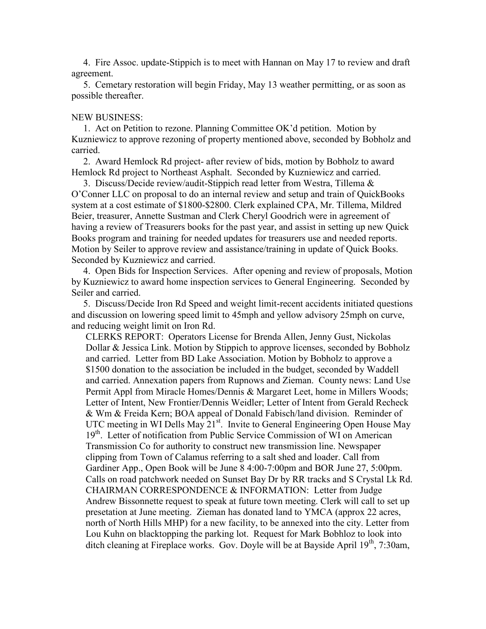4. Fire Assoc. update-Stippich is to meet with Hannan on May 17 to review and draft agreement.

 5. Cemetary restoration will begin Friday, May 13 weather permitting, or as soon as possible thereafter.

#### NEW BUSINESS:

 1. Act on Petition to rezone. Planning Committee OK'd petition. Motion by Kuzniewicz to approve rezoning of property mentioned above, seconded by Bobholz and carried.

 2. Award Hemlock Rd project- after review of bids, motion by Bobholz to award Hemlock Rd project to Northeast Asphalt. Seconded by Kuzniewicz and carried.

 3. Discuss/Decide review/audit-Stippich read letter from Westra, Tillema & O'Conner LLC on proposal to do an internal review and setup and train of QuickBooks system at a cost estimate of \$1800-\$2800. Clerk explained CPA, Mr. Tillema, Mildred Beier, treasurer, Annette Sustman and Clerk Cheryl Goodrich were in agreement of having a review of Treasurers books for the past year, and assist in setting up new Quick Books program and training for needed updates for treasurers use and needed reports. Motion by Seiler to approve review and assistance/training in update of Quick Books. Seconded by Kuzniewicz and carried.

 4. Open Bids for Inspection Services. After opening and review of proposals, Motion by Kuzniewicz to award home inspection services to General Engineering. Seconded by Seiler and carried.

 5. Discuss/Decide Iron Rd Speed and weight limit-recent accidents initiated questions and discussion on lowering speed limit to 45mph and yellow advisory 25mph on curve, and reducing weight limit on Iron Rd.

CLERKS REPORT: Operators License for Brenda Allen, Jenny Gust, Nickolas Dollar & Jessica Link. Motion by Stippich to approve licenses, seconded by Bobholz and carried. Letter from BD Lake Association. Motion by Bobholz to approve a \$1500 donation to the association be included in the budget, seconded by Waddell and carried. Annexation papers from Rupnows and Zieman. County news: Land Use Permit Appl from Miracle Homes/Dennis & Margaret Leet, home in Millers Woods; Letter of Intent, New Frontier/Dennis Weidler; Letter of Intent from Gerald Recheck & Wm & Freida Kern; BOA appeal of Donald Fabisch/land division. Reminder of UTC meeting in WI Dells May  $21<sup>st</sup>$ . Invite to General Engineering Open House May 19<sup>th</sup>. Letter of notification from Public Service Commission of WI on American Transmission Co for authority to construct new transmission line. Newspaper clipping from Town of Calamus referring to a salt shed and loader. Call from Gardiner App., Open Book will be June 8 4:00-7:00pm and BOR June 27, 5:00pm. Calls on road patchwork needed on Sunset Bay Dr by RR tracks and S Crystal Lk Rd. CHAIRMAN CORRESPONDENCE & INFORMATION: Letter from Judge Andrew Bissonnette request to speak at future town meeting. Clerk will call to set up presetation at June meeting. Zieman has donated land to YMCA (approx 22 acres, north of North Hills MHP) for a new facility, to be annexed into the city. Letter from Lou Kuhn on blacktopping the parking lot. Request for Mark Bobhloz to look into ditch cleaning at Fireplace works. Gov. Doyle will be at Bayside April  $19<sup>th</sup>$ , 7:30am,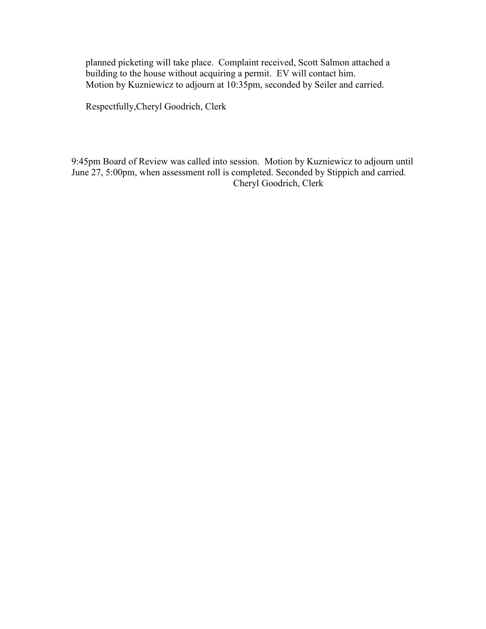planned picketing will take place. Complaint received, Scott Salmon attached a building to the house without acquiring a permit. EV will contact him. Motion by Kuzniewicz to adjourn at 10:35pm, seconded by Seiler and carried.

Respectfully,Cheryl Goodrich, Clerk

9:45pm Board of Review was called into session. Motion by Kuzniewicz to adjourn until June 27, 5:00pm, when assessment roll is completed. Seconded by Stippich and carried. Cheryl Goodrich, Clerk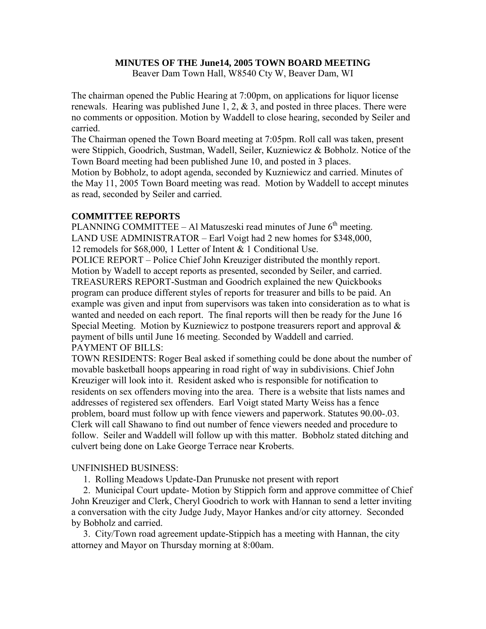#### **MINUTES OF THE June14, 2005 TOWN BOARD MEETING**

Beaver Dam Town Hall, W8540 Cty W, Beaver Dam, WI

The chairman opened the Public Hearing at 7:00pm, on applications for liquor license renewals. Hearing was published June 1, 2,  $\&$  3, and posted in three places. There were no comments or opposition. Motion by Waddell to close hearing, seconded by Seiler and carried.

The Chairman opened the Town Board meeting at 7:05pm. Roll call was taken, present were Stippich, Goodrich, Sustman, Wadell, Seiler, Kuzniewicz & Bobholz. Notice of the Town Board meeting had been published June 10, and posted in 3 places.

Motion by Bobholz, to adopt agenda, seconded by Kuzniewicz and carried. Minutes of the May 11, 2005 Town Board meeting was read. Motion by Waddell to accept minutes as read, seconded by Seiler and carried.

# **COMMITTEE REPORTS**

PLANNING COMMITTEE – Al Matuszeski read minutes of June  $6<sup>th</sup>$  meeting. LAND USE ADMINISTRATOR – Earl Voigt had 2 new homes for \$348,000, 12 remodels for \$68,000, 1 Letter of Intent & 1 Conditional Use. POLICE REPORT – Police Chief John Kreuziger distributed the monthly report.

Motion by Wadell to accept reports as presented, seconded by Seiler, and carried. TREASURERS REPORT-Sustman and Goodrich explained the new Quickbooks program can produce different styles of reports for treasurer and bills to be paid. An example was given and input from supervisors was taken into consideration as to what is wanted and needed on each report. The final reports will then be ready for the June 16 Special Meeting. Motion by Kuzniewicz to postpone treasurers report and approval & payment of bills until June 16 meeting. Seconded by Waddell and carried. PAYMENT OF BILLS:

TOWN RESIDENTS: Roger Beal asked if something could be done about the number of movable basketball hoops appearing in road right of way in subdivisions. Chief John Kreuziger will look into it. Resident asked who is responsible for notification to residents on sex offenders moving into the area. There is a website that lists names and addresses of registered sex offenders. Earl Voigt stated Marty Weiss has a fence problem, board must follow up with fence viewers and paperwork. Statutes 90.00-.03. Clerk will call Shawano to find out number of fence viewers needed and procedure to follow. Seiler and Waddell will follow up with this matter. Bobholz stated ditching and culvert being done on Lake George Terrace near Kroberts.

#### UNFINISHED BUSINESS:

1. Rolling Meadows Update-Dan Prunuske not present with report

 2. Municipal Court update- Motion by Stippich form and approve committee of Chief John Kreuziger and Clerk, Cheryl Goodrich to work with Hannan to send a letter inviting a conversation with the city Judge Judy, Mayor Hankes and/or city attorney. Seconded by Bobholz and carried.

 3. City/Town road agreement update-Stippich has a meeting with Hannan, the city attorney and Mayor on Thursday morning at 8:00am.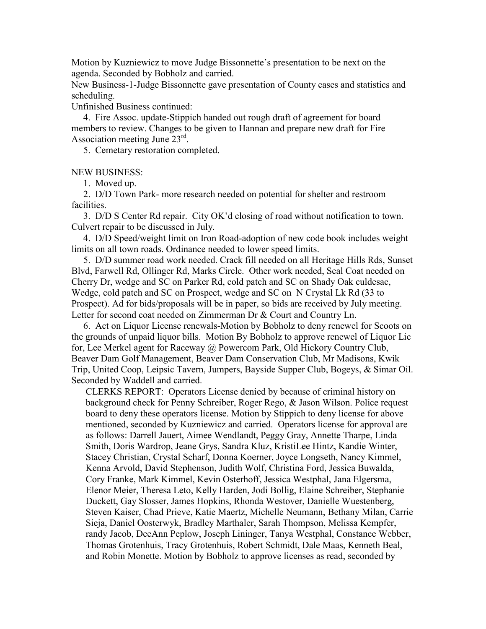Motion by Kuzniewicz to move Judge Bissonnette's presentation to be next on the agenda. Seconded by Bobholz and carried.

New Business-1-Judge Bissonnette gave presentation of County cases and statistics and scheduling.

Unfinished Business continued:

 4. Fire Assoc. update-Stippich handed out rough draft of agreement for board members to review. Changes to be given to Hannan and prepare new draft for Fire Association meeting June 23rd.

5. Cemetary restoration completed.

NEW BUSINESS:

1. Moved up.

 2. D/D Town Park- more research needed on potential for shelter and restroom facilities.

 3. D/D S Center Rd repair. City OK'd closing of road without notification to town. Culvert repair to be discussed in July.

 4. D/D Speed/weight limit on Iron Road-adoption of new code book includes weight limits on all town roads. Ordinance needed to lower speed limits.

 5. D/D summer road work needed. Crack fill needed on all Heritage Hills Rds, Sunset Blvd, Farwell Rd, Ollinger Rd, Marks Circle. Other work needed, Seal Coat needed on Cherry Dr, wedge and SC on Parker Rd, cold patch and SC on Shady Oak culdesac, Wedge, cold patch and SC on Prospect, wedge and SC on N Crystal Lk Rd (33 to Prospect). Ad for bids/proposals will be in paper, so bids are received by July meeting. Letter for second coat needed on Zimmerman Dr & Court and Country Ln.

 6. Act on Liquor License renewals-Motion by Bobholz to deny renewel for Scoots on the grounds of unpaid liquor bills. Motion By Bobholz to approve renewel of Liquor Lic for, Lee Merkel agent for Raceway @ Powercom Park, Old Hickory Country Club, Beaver Dam Golf Management, Beaver Dam Conservation Club, Mr Madisons, Kwik Trip, United Coop, Leipsic Tavern, Jumpers, Bayside Supper Club, Bogeys, & Simar Oil. Seconded by Waddell and carried.

CLERKS REPORT: Operators License denied by because of criminal history on background check for Penny Schreiber, Roger Rego, & Jason Wilson. Police request board to deny these operators license. Motion by Stippich to deny license for above mentioned, seconded by Kuzniewicz and carried. Operators license for approval are as follows: Darrell Jauert, Aimee Wendlandt, Peggy Gray, Annette Tharpe, Linda Smith, Doris Wardrop, Jeane Grys, Sandra Kluz, KristiLee Hintz, Kandie Winter, Stacey Christian, Crystal Scharf, Donna Koerner, Joyce Longseth, Nancy Kimmel, Kenna Arvold, David Stephenson, Judith Wolf, Christina Ford, Jessica Buwalda, Cory Franke, Mark Kimmel, Kevin Osterhoff, Jessica Westphal, Jana Elgersma, Elenor Meier, Theresa Leto, Kelly Harden, Jodi Bollig, Elaine Schreiber, Stephanie Duckett, Gay Slosser, James Hopkins, Rhonda Westover, Danielle Wuestenberg, Steven Kaiser, Chad Prieve, Katie Maertz, Michelle Neumann, Bethany Milan, Carrie Sieja, Daniel Oosterwyk, Bradley Marthaler, Sarah Thompson, Melissa Kempfer, randy Jacob, DeeAnn Peplow, Joseph Lininger, Tanya Westphal, Constance Webber, Thomas Grotenhuis, Tracy Grotenhuis, Robert Schmidt, Dale Maas, Kenneth Beal, and Robin Monette. Motion by Bobholz to approve licenses as read, seconded by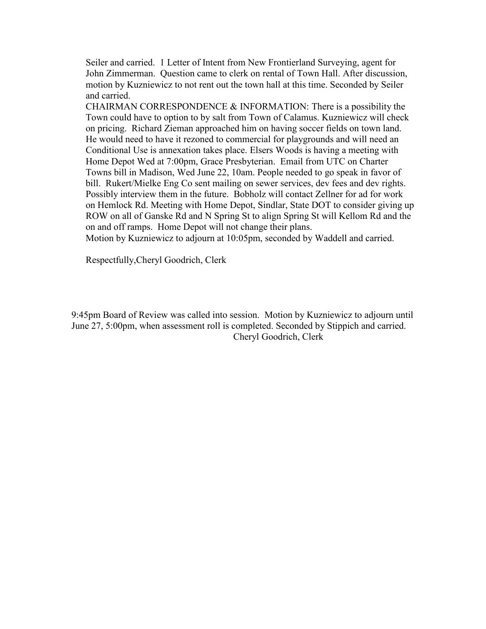Seiler and carried. 1 Letter of Intent from New Frontierland Surveying, agent for John Zimmerman. Question came to clerk on rental of Town Hall. After discussion, motion by Kuzniewicz to not rent out the town hall at this time. Seconded by Seiler and carried.

CHAIRMAN CORRESPONDENCE  $&$  INFORMATION: There is a possibility the Town could have to option to by salt from Town of Calamus. Kuzniewicz will check on pricing. Richard Zieman approached him on having soccer fields on town land. He would need to have it rezoned to commercial for playgrounds and will need an Conditional Use is annexation takes place. Elsers Woods is having a meeting with Home Depot Wed at 7:00pm, Grace Presbyterian. Email from UTC on Charter Towns bill in Madison, Wed June 22, 10am. People needed to go speak in favor of bill. Rukert/Mielke Eng Co sent mailing on sewer services, dev fees and dev rights. Possibly interview them in the future. Bobholz will contact Zellner for ad for work on Hemlock Rd. Meeting with Home Depot, Sindlar, State DOT to consider giving up ROW on all of Ganske Rd and N Spring St to align Spring St will Kellom Rd and the on and off ramps. Home Depot will not change their plans.

Motion by Kuzniewicz to adjourn at 10:05pm, seconded by Waddell and carried.

Respectfully,Cheryl Goodrich, Clerk

9:45pm Board of Review was called into session. Motion by Kuzniewicz to adjourn until June 27, 5:00pm, when assessment roll is completed. Seconded by Stippich and carried. Cheryl Goodrich, Clerk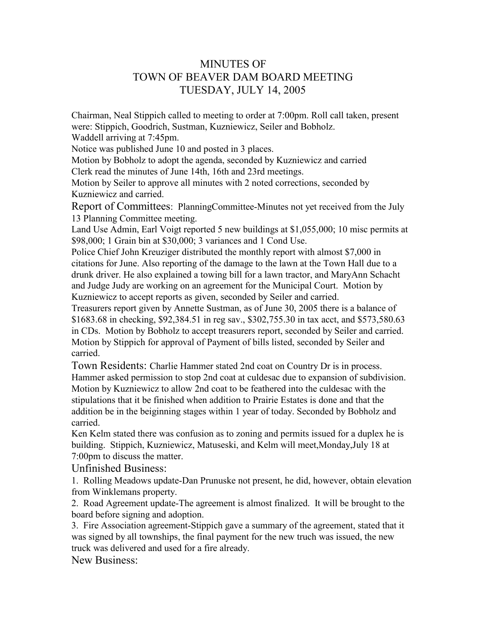# MINUTES OF TOWN OF BEAVER DAM BOARD MEETING TUESDAY, JULY 14, 2005

Chairman, Neal Stippich called to meeting to order at 7:00pm. Roll call taken, present were: Stippich, Goodrich, Sustman, Kuzniewicz, Seiler and Bobholz.

Waddell arriving at 7:45pm.

Notice was published June 10 and posted in 3 places.

Motion by Bobholz to adopt the agenda, seconded by Kuzniewicz and carried Clerk read the minutes of June 14th, 16th and 23rd meetings.

Motion by Seiler to approve all minutes with 2 noted corrections, seconded by Kuzniewicz and carried.

Report of Committees: PlanningCommittee-Minutes not yet received from the July 13 Planning Committee meeting.

Land Use Admin, Earl Voigt reported 5 new buildings at \$1,055,000; 10 misc permits at \$98,000; 1 Grain bin at \$30,000; 3 variances and 1 Cond Use.

Police Chief John Kreuziger distributed the monthly report with almost \$7,000 in citations for June. Also reporting of the damage to the lawn at the Town Hall due to a drunk driver. He also explained a towing bill for a lawn tractor, and MaryAnn Schacht and Judge Judy are working on an agreement for the Municipal Court. Motion by Kuzniewicz to accept reports as given, seconded by Seiler and carried.

Treasurers report given by Annette Sustman, as of June 30, 2005 there is a balance of \$1683.68 in checking, \$92,384.51 in reg sav., \$302,755.30 in tax acct, and \$573,580.63 in CDs. Motion by Bobholz to accept treasurers report, seconded by Seiler and carried. Motion by Stippich for approval of Payment of bills listed, seconded by Seiler and carried.

Town Residents: Charlie Hammer stated 2nd coat on Country Dr is in process. Hammer asked permission to stop 2nd coat at culdesac due to expansion of subdivision. Motion by Kuzniewicz to allow 2nd coat to be feathered into the culdesac with the stipulations that it be finished when addition to Prairie Estates is done and that the addition be in the beiginning stages within 1 year of today. Seconded by Bobholz and carried.

Ken Kelm stated there was confusion as to zoning and permits issued for a duplex he is building. Stippich, Kuzniewicz, Matuseski, and Kelm will meet,Monday,July 18 at 7:00pm to discuss the matter.

Unfinished Business:

1. Rolling Meadows update-Dan Prunuske not present, he did, however, obtain elevation from Winklemans property.

2. Road Agreement update-The agreement is almost finalized. It will be brought to the board before signing and adoption.

3. Fire Association agreement-Stippich gave a summary of the agreement, stated that it was signed by all townships, the final payment for the new truch was issued, the new truck was delivered and used for a fire already.

New Business: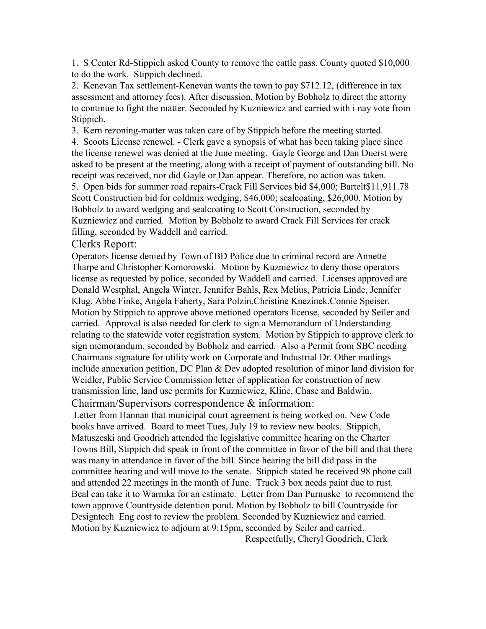1. S Center Rd-Stippich asked County to remove the cattle pass. County quoted \$10,000 to do the work. Stippich declined.

2. Kenevan Tax settlement-Kenevan wants the town to pay \$712.12, (difference in tax assessment and attorney fees). After discussion, Motion by Bobholz to direct the attorny to continue to fight the matter. Seconded by Kuzniewicz and carried with i nay vote from Stippich.

3. Kern rezoning-matter was taken care of by Stippich before the meeting started.

4. Scoots License renewel. - Clerk gave a synopsis of what has been taking place since the license renewel was denied at the June meeting. Gayle George and Dan Duerst were asked to be present at the meeting, along with a receipt of payment of outstanding bill. No receipt was received, nor did Gayle or Dan appear. Therefore, no action was taken. 5. Open bids for summer road repairs-Crack Fill Services bid \$4,000; Bartelt\$11,911.78

Scott Construction bid for coldmix wedging, \$46,000; sealcoating, \$26,000. Motion by Bobholz to award wedging and sealcoating to Scott Construction, seconded by Kuzniewicz and carried. Motion by Bobholz to award Crack Fill Services for crack filling, seconded by Waddell and carried.

# Clerks Report:

Operators license denied by Town of BD Police due to criminal record are Annette Tharpe and Christopher Komorowski. Motion by Kuzniewicz to deny those operators license as requested by police, seconded by Waddell and carried. Licenses approved are Donald Westphal, Angela Winter, Jennifer Bahls, Rex Melius, Patricia Linde, Jennifer Klug, Abbe Finke, Angela Faherty, Sara Polzin,Christine Knezinek,Connie Speiser. Motion by Stippich to approve above metioned operators license, seconded by Seiler and carried. Approval is also needed for clerk to sign a Memorandum of Understanding relating to the statewide voter registration system. Motion by Stippich to approve clerk to sign memorandum, seconded by Bobholz and carried. Also a Permit from SBC needing Chairmans signature for utility work on Corporate and Industrial Dr. Other mailings include annexation petition, DC Plan & Dev adopted resolution of minor land division for Weidler, Public Service Commission letter of application for construction of new transmission line, land use permits for Kuzniewicz, Kline, Chase and Baldwin.

# Chairman/Supervisors correspondence & information:

Letter from Hannan that municipal court agreement is being worked on. New Code books have arrived. Board to meet Tues, July 19 to review new books. Stippich, Matuszeski and Goodrich attended the legislative committee hearing on the Charter Towns Bill, Stippich did speak in front of the committee in favor of the bill and that there was many in attendance in favor of the bill. Since hearing the bill did pass in the committee hearing and will move to the senate. Stippich stated he received 98 phone call and attended 22 meetings in the month of June. Truck 3 box needs paint due to rust. Beal can take it to Warmka for an estimate. Letter from Dan Purnuske to recommend the town approve Countryside detention pond. Motion by Bobholz to bill Countryside for Designtech Eng cost to review the problem. Seconded by Kuzniewicz and carried. Motion by Kuzniewicz to adjourn at 9:15pm, seconded by Seiler and carried.

Respectfully, Cheryl Goodrich, Clerk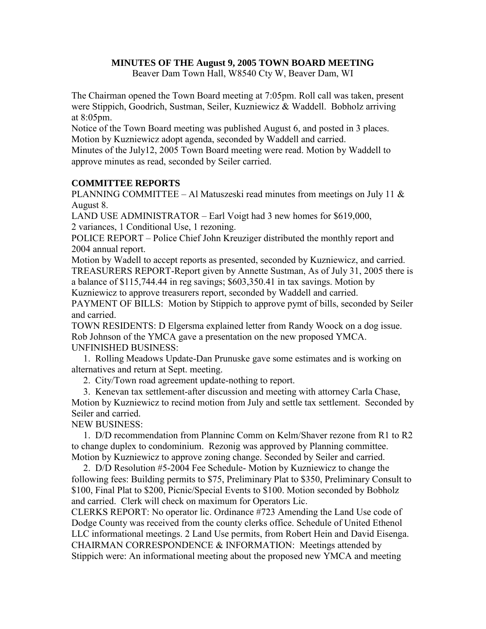#### **MINUTES OF THE August 9, 2005 TOWN BOARD MEETING**

Beaver Dam Town Hall, W8540 Cty W, Beaver Dam, WI

The Chairman opened the Town Board meeting at 7:05pm. Roll call was taken, present were Stippich, Goodrich, Sustman, Seiler, Kuzniewicz & Waddell. Bobholz arriving at 8:05pm.

Notice of the Town Board meeting was published August 6, and posted in 3 places. Motion by Kuzniewicz adopt agenda, seconded by Waddell and carried.

Minutes of the July12, 2005 Town Board meeting were read. Motion by Waddell to approve minutes as read, seconded by Seiler carried.

# **COMMITTEE REPORTS**

PLANNING COMMITTEE – Al Matuszeski read minutes from meetings on July 11  $\&$ August 8.

LAND USE ADMINISTRATOR – Earl Voigt had 3 new homes for \$619,000, 2 variances, 1 Conditional Use, 1 rezoning.

POLICE REPORT – Police Chief John Kreuziger distributed the monthly report and 2004 annual report.

Motion by Wadell to accept reports as presented, seconded by Kuzniewicz, and carried. TREASURERS REPORT-Report given by Annette Sustman, As of July 31, 2005 there is a balance of \$115,744.44 in reg savings; \$603,350.41 in tax savings. Motion by

Kuzniewicz to approve treasurers report, seconded by Waddell and carried.

PAYMENT OF BILLS: Motion by Stippich to approve pymt of bills, seconded by Seiler and carried.

TOWN RESIDENTS: D Elgersma explained letter from Randy Woock on a dog issue. Rob Johnson of the YMCA gave a presentation on the new proposed YMCA. UNFINISHED BUSINESS:

 1. Rolling Meadows Update-Dan Prunuske gave some estimates and is working on alternatives and return at Sept. meeting.

2. City/Town road agreement update-nothing to report.

 3. Kenevan tax settlement-after discussion and meeting with attorney Carla Chase, Motion by Kuzniewicz to recind motion from July and settle tax settlement. Seconded by Seiler and carried.

NEW BUSINESS:

 1. D/D recommendation from Planninc Comm on Kelm/Shaver rezone from R1 to R2 to change duplex to condominium. Rezonig was approved by Planning committee. Motion by Kuzniewicz to approve zoning change. Seconded by Seiler and carried.

 2. D/D Resolution #5-2004 Fee Schedule- Motion by Kuzniewicz to change the following fees: Building permits to \$75, Preliminary Plat to \$350, Preliminary Consult to \$100, Final Plat to \$200, Picnic/Special Events to \$100. Motion seconded by Bobholz and carried. Clerk will check on maximum for Operators Lic.

CLERKS REPORT: No operator lic. Ordinance #723 Amending the Land Use code of Dodge County was received from the county clerks office. Schedule of United Ethenol LLC informational meetings. 2 Land Use permits, from Robert Hein and David Eisenga. CHAIRMAN CORRESPONDENCE & INFORMATION: Meetings attended by Stippich were: An informational meeting about the proposed new YMCA and meeting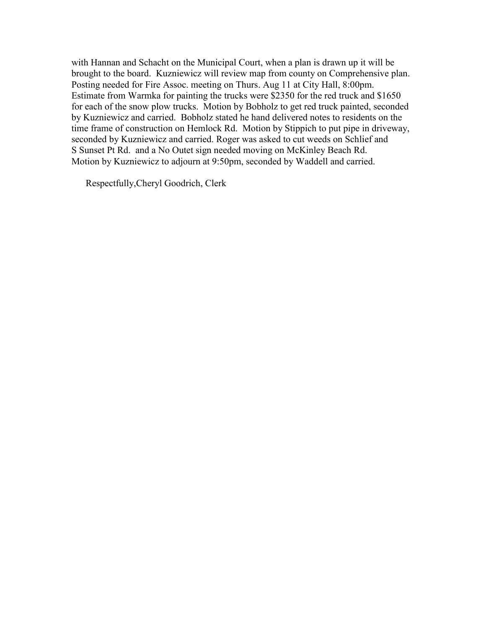with Hannan and Schacht on the Municipal Court, when a plan is drawn up it will be brought to the board. Kuzniewicz will review map from county on Comprehensive plan. Posting needed for Fire Assoc. meeting on Thurs. Aug 11 at City Hall, 8:00pm. Estimate from Warmka for painting the trucks were \$2350 for the red truck and \$1650 for each of the snow plow trucks. Motion by Bobholz to get red truck painted, seconded by Kuzniewicz and carried. Bobholz stated he hand delivered notes to residents on the time frame of construction on Hemlock Rd. Motion by Stippich to put pipe in driveway, seconded by Kuzniewicz and carried. Roger was asked to cut weeds on Schlief and S Sunset Pt Rd. and a No Outet sign needed moving on McKinley Beach Rd. Motion by Kuzniewicz to adjourn at 9:50pm, seconded by Waddell and carried.

Respectfully,Cheryl Goodrich, Clerk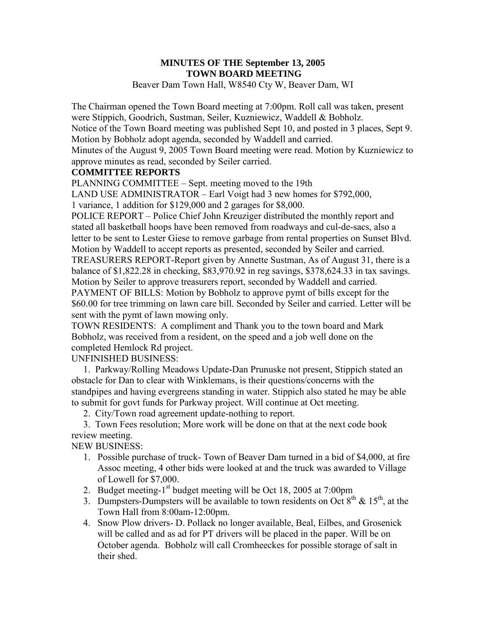# **MINUTES OF THE September 13, 2005 TOWN BOARD MEETING**

Beaver Dam Town Hall, W8540 Cty W, Beaver Dam, WI

The Chairman opened the Town Board meeting at 7:00pm. Roll call was taken, present were Stippich, Goodrich, Sustman, Seiler, Kuzniewicz, Waddell & Bobholz.

Notice of the Town Board meeting was published Sept 10, and posted in 3 places, Sept 9. Motion by Bobholz adopt agenda, seconded by Waddell and carried.

Minutes of the August 9, 2005 Town Board meeting were read. Motion by Kuzniewicz to approve minutes as read, seconded by Seiler carried.

#### **COMMITTEE REPORTS**

PLANNING COMMITTEE – Sept. meeting moved to the 19th

LAND USE ADMINISTRATOR – Earl Voigt had 3 new homes for \$792,000,

1 variance, 1 addition for \$129,000 and 2 garages for \$8,000.

POLICE REPORT – Police Chief John Kreuziger distributed the monthly report and stated all basketball hoops have been removed from roadways and cul-de-sacs, also a letter to be sent to Lester Giese to remove garbage from rental properties on Sunset Blvd. Motion by Waddell to accept reports as presented, seconded by Seiler and carried.

TREASURERS REPORT-Report given by Annette Sustman, As of August 31, there is a balance of \$1,822.28 in checking, \$83,970.92 in reg savings, \$378,624.33 in tax savings. Motion by Seiler to approve treasurers report, seconded by Waddell and carried. PAYMENT OF BILLS: Motion by Bobholz to approve pymt of bills except for the

\$60.00 for tree trimming on lawn care bill. Seconded by Seiler and carried. Letter will be sent with the pymt of lawn mowing only.

TOWN RESIDENTS: A compliment and Thank you to the town board and Mark Bobholz, was received from a resident, on the speed and a job well done on the completed Hemlock Rd project.

UNFINISHED BUSINESS:

 1. Parkway/Rolling Meadows Update-Dan Prunuske not present, Stippich stated an obstacle for Dan to clear with Winklemans, is their questions/concerns with the standpipes and having evergreens standing in water. Stippich also stated he may be able to submit for govt funds for Parkway project. Will continue at Oct meeting.

2. City/Town road agreement update-nothing to report.

 3. Town Fees resolution; More work will be done on that at the next code book review meeting.

NEW BUSINESS:

- 1. Possible purchase of truck- Town of Beaver Dam turned in a bid of \$4,000, at fire Assoc meeting, 4 other bids were looked at and the truck was awarded to Village of Lowell for \$7,000.
- 2. Budget meeting-1<sup>st</sup> budget meeting will be Oct 18, 2005 at 7:00pm
- 3. Dumpsters-Dumpsters will be available to town residents on Oct  $8<sup>th</sup>$  & 15<sup>th</sup>, at the Town Hall from 8:00am-12:00pm.
- 4. Snow Plow drivers- D. Pollack no longer available, Beal, Eilbes, and Grosenick will be called and as ad for PT drivers will be placed in the paper. Will be on October agenda. Bobholz will call Cromheeckes for possible storage of salt in their shed.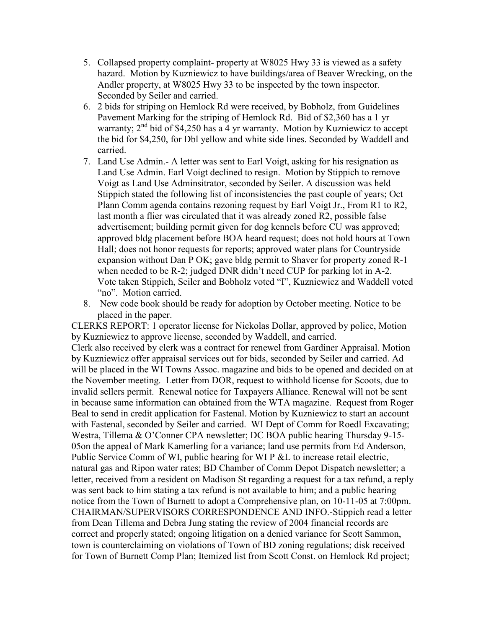- 5. Collapsed property complaint- property at W8025 Hwy 33 is viewed as a safety hazard. Motion by Kuzniewicz to have buildings/area of Beaver Wrecking, on the Andler property, at W8025 Hwy 33 to be inspected by the town inspector. Seconded by Seiler and carried.
- 6. 2 bids for striping on Hemlock Rd were received, by Bobholz, from Guidelines Pavement Marking for the striping of Hemlock Rd. Bid of \$2,360 has a 1 yr warranty;  $2<sup>nd</sup>$  bid of \$4,250 has a 4 yr warranty. Motion by Kuzniewicz to accept the bid for \$4,250, for Dbl yellow and white side lines. Seconded by Waddell and carried.
- 7. Land Use Admin.- A letter was sent to Earl Voigt, asking for his resignation as Land Use Admin. Earl Voigt declined to resign. Motion by Stippich to remove Voigt as Land Use Adminsitrator, seconded by Seiler. A discussion was held Stippich stated the following list of inconsistencies the past couple of years; Oct Plann Comm agenda contains rezoning request by Earl Voigt Jr., From R1 to R2, last month a flier was circulated that it was already zoned R2, possible false advertisement; building permit given for dog kennels before CU was approved; approved bldg placement before BOA heard request; does not hold hours at Town Hall; does not honor requests for reports; approved water plans for Countryside expansion without Dan P OK; gave bldg permit to Shaver for property zoned R-1 when needed to be R-2; judged DNR didn't need CUP for parking lot in A-2. Vote taken Stippich, Seiler and Bobholz voted "I", Kuzniewicz and Waddell voted "no". Motion carried.
- 8. New code book should be ready for adoption by October meeting. Notice to be placed in the paper.

CLERKS REPORT: 1 operator license for Nickolas Dollar, approved by police, Motion by Kuzniewicz to approve license, seconded by Waddell, and carried. Clerk also received by clerk was a contract for renewel from Gardiner Appraisal. Motion by Kuzniewicz offer appraisal services out for bids, seconded by Seiler and carried. Ad will be placed in the WI Towns Assoc. magazine and bids to be opened and decided on at the November meeting. Letter from DOR, request to withhold license for Scoots, due to invalid sellers permit. Renewal notice for Taxpayers Alliance. Renewal will not be sent in because same information can obtained from the WTA magazine. Request from Roger Beal to send in credit application for Fastenal. Motion by Kuzniewicz to start an account with Fastenal, seconded by Seiler and carried. WI Dept of Comm for Roedl Excavating; Westra, Tillema & O'Conner CPA newsletter; DC BOA public hearing Thursday 9-15- 05on the appeal of Mark Kamerling for a variance; land use permits from Ed Anderson, Public Service Comm of WI, public hearing for WI P &L to increase retail electric, natural gas and Ripon water rates; BD Chamber of Comm Depot Dispatch newsletter; a letter, received from a resident on Madison St regarding a request for a tax refund, a reply was sent back to him stating a tax refund is not available to him; and a public hearing notice from the Town of Burnett to adopt a Comprehensive plan, on 10-11-05 at 7:00pm. CHAIRMAN/SUPERVISORS CORRESPONDENCE AND INFO.-Stippich read a letter from Dean Tillema and Debra Jung stating the review of 2004 financial records are correct and properly stated; ongoing litigation on a denied variance for Scott Sammon, town is counterclaiming on violations of Town of BD zoning regulations; disk received for Town of Burnett Comp Plan; Itemized list from Scott Const. on Hemlock Rd project;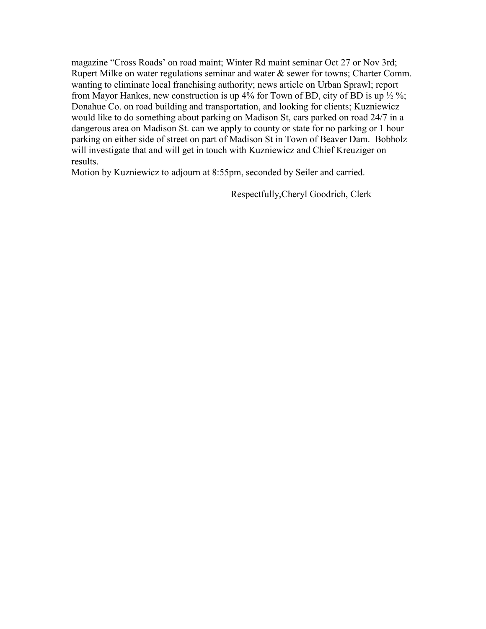magazine "Cross Roads' on road maint; Winter Rd maint seminar Oct 27 or Nov 3rd; Rupert Milke on water regulations seminar and water & sewer for towns; Charter Comm. wanting to eliminate local franchising authority; news article on Urban Sprawl; report from Mayor Hankes, new construction is up  $4\%$  for Town of BD, city of BD is up  $\frac{1}{2}\%$ ; Donahue Co. on road building and transportation, and looking for clients; Kuzniewicz would like to do something about parking on Madison St, cars parked on road 24/7 in a dangerous area on Madison St. can we apply to county or state for no parking or 1 hour parking on either side of street on part of Madison St in Town of Beaver Dam. Bobholz will investigate that and will get in touch with Kuzniewicz and Chief Kreuziger on results.

Motion by Kuzniewicz to adjourn at 8:55pm, seconded by Seiler and carried.

Respectfully,Cheryl Goodrich, Clerk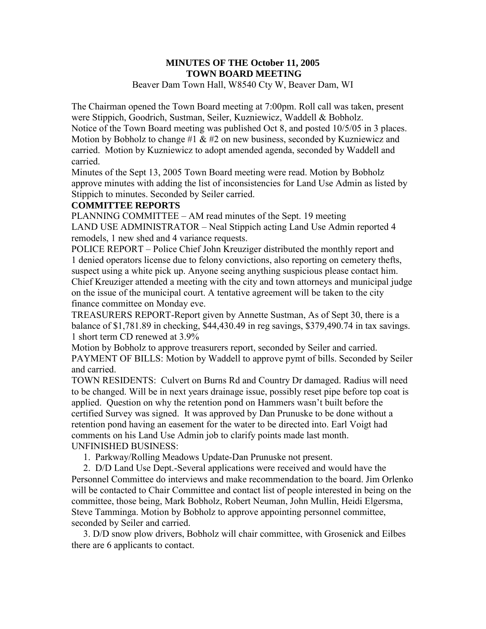# **MINUTES OF THE October 11, 2005 TOWN BOARD MEETING**

Beaver Dam Town Hall, W8540 Cty W, Beaver Dam, WI

The Chairman opened the Town Board meeting at 7:00pm. Roll call was taken, present were Stippich, Goodrich, Sustman, Seiler, Kuzniewicz, Waddell & Bobholz. Notice of the Town Board meeting was published Oct 8, and posted 10/5/05 in 3 places. Motion by Bobholz to change #1  $\&$  #2 on new business, seconded by Kuzniewicz and carried. Motion by Kuzniewicz to adopt amended agenda, seconded by Waddell and carried.

Minutes of the Sept 13, 2005 Town Board meeting were read. Motion by Bobholz approve minutes with adding the list of inconsistencies for Land Use Admin as listed by Stippich to minutes. Seconded by Seiler carried.

# **COMMITTEE REPORTS**

PLANNING COMMITTEE – AM read minutes of the Sept. 19 meeting LAND USE ADMINISTRATOR – Neal Stippich acting Land Use Admin reported 4 remodels, 1 new shed and 4 variance requests.

POLICE REPORT – Police Chief John Kreuziger distributed the monthly report and 1 denied operators license due to felony convictions, also reporting on cemetery thefts, suspect using a white pick up. Anyone seeing anything suspicious please contact him. Chief Kreuziger attended a meeting with the city and town attorneys and municipal judge on the issue of the municipal court. A tentative agreement will be taken to the city finance committee on Monday eve.

TREASURERS REPORT-Report given by Annette Sustman, As of Sept 30, there is a balance of \$1,781.89 in checking, \$44,430.49 in reg savings, \$379,490.74 in tax savings. 1 short term CD renewed at 3.9%

Motion by Bobholz to approve treasurers report, seconded by Seiler and carried. PAYMENT OF BILLS: Motion by Waddell to approve pymt of bills. Seconded by Seiler and carried.

TOWN RESIDENTS: Culvert on Burns Rd and Country Dr damaged. Radius will need to be changed. Will be in next years drainage issue, possibly reset pipe before top coat is applied. Question on why the retention pond on Hammers wasn't built before the certified Survey was signed. It was approved by Dan Prunuske to be done without a retention pond having an easement for the water to be directed into. Earl Voigt had comments on his Land Use Admin job to clarify points made last month. UNFINISHED BUSINESS:

1. Parkway/Rolling Meadows Update-Dan Prunuske not present.

 2. D/D Land Use Dept.-Several applications were received and would have the Personnel Committee do interviews and make recommendation to the board. Jim Orlenko will be contacted to Chair Committee and contact list of people interested in being on the committee, those being, Mark Bobholz, Robert Neuman, John Mullin, Heidi Elgersma, Steve Tamminga. Motion by Bobholz to approve appointing personnel committee, seconded by Seiler and carried.

 3. D/D snow plow drivers, Bobholz will chair committee, with Grosenick and Eilbes there are 6 applicants to contact.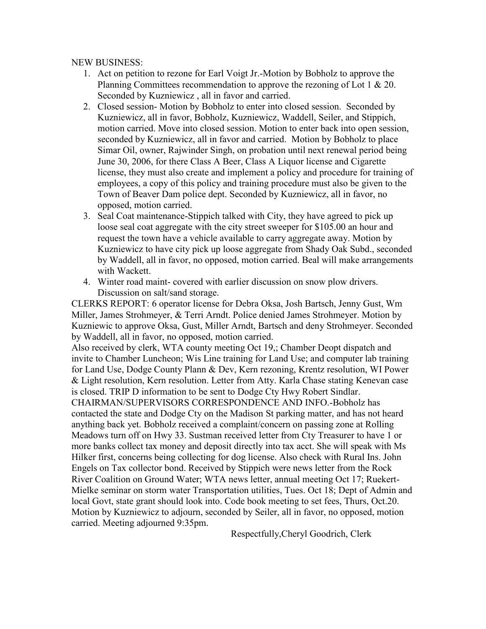NEW BUSINESS:

- 1. Act on petition to rezone for Earl Voigt Jr.-Motion by Bobholz to approve the Planning Committees recommendation to approve the rezoning of Lot 1 & 20. Seconded by Kuzniewicz , all in favor and carried.
- 2. Closed session- Motion by Bobholz to enter into closed session. Seconded by Kuzniewicz, all in favor, Bobholz, Kuzniewicz, Waddell, Seiler, and Stippich, motion carried. Move into closed session. Motion to enter back into open session, seconded by Kuzniewicz, all in favor and carried. Motion by Bobholz to place Simar Oil, owner, Rajwinder Singh, on probation until next renewal period being June 30, 2006, for there Class A Beer, Class A Liquor license and Cigarette license, they must also create and implement a policy and procedure for training of employees, a copy of this policy and training procedure must also be given to the Town of Beaver Dam police dept. Seconded by Kuzniewicz, all in favor, no opposed, motion carried.
- 3. Seal Coat maintenance-Stippich talked with City, they have agreed to pick up loose seal coat aggregate with the city street sweeper for \$105.00 an hour and request the town have a vehicle available to carry aggregate away. Motion by Kuzniewicz to have city pick up loose aggregate from Shady Oak Subd., seconded by Waddell, all in favor, no opposed, motion carried. Beal will make arrangements with Wackett.
- 4. Winter road maint- covered with earlier discussion on snow plow drivers. Discussion on salt/sand storage.

CLERKS REPORT: 6 operator license for Debra Oksa, Josh Bartsch, Jenny Gust, Wm Miller, James Strohmeyer, & Terri Arndt. Police denied James Strohmeyer. Motion by Kuzniewic to approve Oksa, Gust, Miller Arndt, Bartsch and deny Strohmeyer. Seconded by Waddell, all in favor, no opposed, motion carried.

Also received by clerk, WTA county meeting Oct 19,; Chamber Deopt dispatch and invite to Chamber Luncheon; Wis Line training for Land Use; and computer lab training for Land Use, Dodge County Plann & Dev, Kern rezoning, Krentz resolution, WI Power & Light resolution, Kern resolution. Letter from Atty. Karla Chase stating Kenevan case is closed. TRIP D information to be sent to Dodge Cty Hwy Robert Sindlar.

CHAIRMAN/SUPERVISORS CORRESPONDENCE AND INFO.-Bobholz has contacted the state and Dodge Cty on the Madison St parking matter, and has not heard anything back yet. Bobholz received a complaint/concern on passing zone at Rolling Meadows turn off on Hwy 33. Sustman received letter from Cty Treasurer to have 1 or more banks collect tax money and deposit directly into tax acct. She will speak with Ms Hilker first, concerns being collecting for dog license. Also check with Rural Ins. John Engels on Tax collector bond. Received by Stippich were news letter from the Rock River Coalition on Ground Water; WTA news letter, annual meeting Oct 17; Ruekert-Mielke seminar on storm water Transportation utilities, Tues. Oct 18; Dept of Admin and local Govt, state grant should look into. Code book meeting to set fees, Thurs, Oct.20. Motion by Kuzniewicz to adjourn, seconded by Seiler, all in favor, no opposed, motion carried. Meeting adjourned 9:35pm.

Respectfully,Cheryl Goodrich, Clerk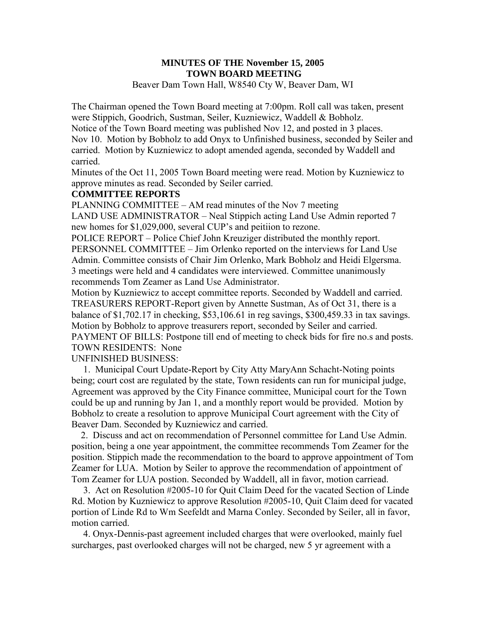# **MINUTES OF THE November 15, 2005 TOWN BOARD MEETING**

Beaver Dam Town Hall, W8540 Cty W, Beaver Dam, WI

The Chairman opened the Town Board meeting at 7:00pm. Roll call was taken, present were Stippich, Goodrich, Sustman, Seiler, Kuzniewicz, Waddell & Bobholz. Notice of the Town Board meeting was published Nov 12, and posted in 3 places. Nov 10. Motion by Bobholz to add Onyx to Unfinished business, seconded by Seiler and carried. Motion by Kuzniewicz to adopt amended agenda, seconded by Waddell and carried.

Minutes of the Oct 11, 2005 Town Board meeting were read. Motion by Kuzniewicz to approve minutes as read. Seconded by Seiler carried.

#### **COMMITTEE REPORTS**

PLANNING COMMITTEE – AM read minutes of the Nov 7 meeting LAND USE ADMINISTRATOR – Neal Stippich acting Land Use Admin reported 7 new homes for \$1,029,000, several CUP's and peitiion to rezone.

POLICE REPORT – Police Chief John Kreuziger distributed the monthly report. PERSONNEL COMMITTEE – Jim Orlenko reported on the interviews for Land Use Admin. Committee consists of Chair Jim Orlenko, Mark Bobholz and Heidi Elgersma. 3 meetings were held and 4 candidates were interviewed. Committee unanimously recommends Tom Zeamer as Land Use Administrator.

Motion by Kuzniewicz to accept committee reports. Seconded by Waddell and carried. TREASURERS REPORT-Report given by Annette Sustman, As of Oct 31, there is a balance of \$1,702.17 in checking, \$53,106.61 in reg savings, \$300,459.33 in tax savings. Motion by Bobholz to approve treasurers report, seconded by Seiler and carried. PAYMENT OF BILLS: Postpone till end of meeting to check bids for fire no.s and posts. TOWN RESIDENTS: None

UNFINISHED BUSINESS:

 1. Municipal Court Update-Report by City Atty MaryAnn Schacht-Noting points being; court cost are regulated by the state, Town residents can run for municipal judge, Agreement was approved by the City Finance committee, Municipal court for the Town could be up and running by Jan 1, and a monthly report would be provided. Motion by Bobholz to create a resolution to approve Municipal Court agreement with the City of Beaver Dam. Seconded by Kuzniewicz and carried.

 2. Discuss and act on recommendation of Personnel committee for Land Use Admin. position, being a one year appointment, the committee recommends Tom Zeamer for the position. Stippich made the recommendation to the board to approve appointment of Tom Zeamer for LUA. Motion by Seiler to approve the recommendation of appointment of Tom Zeamer for LUA postion. Seconded by Waddell, all in favor, motion carriead.

 3. Act on Resolution #2005-10 for Quit Claim Deed for the vacated Section of Linde Rd. Motion by Kuzniewicz to approve Resolution #2005-10, Quit Claim deed for vacated portion of Linde Rd to Wm Seefeldt and Marna Conley. Seconded by Seiler, all in favor, motion carried.

 4. Onyx-Dennis-past agreement included charges that were overlooked, mainly fuel surcharges, past overlooked charges will not be charged, new 5 yr agreement with a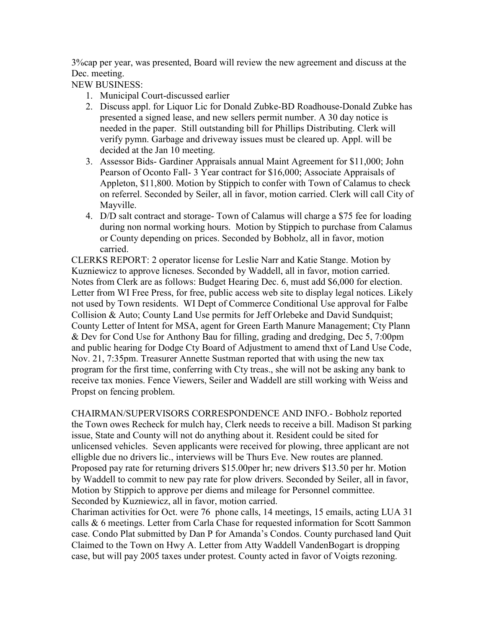3%cap per year, was presented, Board will review the new agreement and discuss at the Dec. meeting.

NEW BUSINESS:

- 1. Municipal Court-discussed earlier
- 2. Discuss appl. for Liquor Lic for Donald Zubke-BD Roadhouse-Donald Zubke has presented a signed lease, and new sellers permit number. A 30 day notice is needed in the paper. Still outstanding bill for Phillips Distributing. Clerk will verify pymn. Garbage and driveway issues must be cleared up. Appl. will be decided at the Jan 10 meeting.
- 3. Assessor Bids- Gardiner Appraisals annual Maint Agreement for \$11,000; John Pearson of Oconto Fall- 3 Year contract for \$16,000; Associate Appraisals of Appleton, \$11,800. Motion by Stippich to confer with Town of Calamus to check on referrel. Seconded by Seiler, all in favor, motion carried. Clerk will call City of Mayville.
- 4. D/D salt contract and storage- Town of Calamus will charge a \$75 fee for loading during non normal working hours. Motion by Stippich to purchase from Calamus or County depending on prices. Seconded by Bobholz, all in favor, motion carried.

CLERKS REPORT: 2 operator license for Leslie Narr and Katie Stange. Motion by Kuzniewicz to approve licneses. Seconded by Waddell, all in favor, motion carried. Notes from Clerk are as follows: Budget Hearing Dec. 6, must add \$6,000 for election. Letter from WI Free Press, for free, public access web site to display legal notices. Likely not used by Town residents. WI Dept of Commerce Conditional Use approval for Falbe Collision & Auto; County Land Use permits for Jeff Orlebeke and David Sundquist; County Letter of Intent for MSA, agent for Green Earth Manure Management; Cty Plann & Dev for Cond Use for Anthony Bau for filling, grading and dredging, Dec 5, 7:00pm and public hearing for Dodge Cty Board of Adjustment to amend thxt of Land Use Code, Nov. 21, 7:35pm. Treasurer Annette Sustman reported that with using the new tax program for the first time, conferring with Cty treas., she will not be asking any bank to receive tax monies. Fence Viewers, Seiler and Waddell are still working with Weiss and Propst on fencing problem.

CHAIRMAN/SUPERVISORS CORRESPONDENCE AND INFO.- Bobholz reported the Town owes Recheck for mulch hay, Clerk needs to receive a bill. Madison St parking issue, State and County will not do anything about it. Resident could be sited for unlicensed vehicles. Seven applicants were received for plowing, three applicant are not elligble due no drivers lic., interviews will be Thurs Eve. New routes are planned. Proposed pay rate for returning drivers \$15.00per hr; new drivers \$13.50 per hr. Motion by Waddell to commit to new pay rate for plow drivers. Seconded by Seiler, all in favor, Motion by Stippich to approve per diems and mileage for Personnel committee. Seconded by Kuzniewicz, all in favor, motion carried.

Chariman activities for Oct. were 76 phone calls, 14 meetings, 15 emails, acting LUA 31 calls & 6 meetings. Letter from Carla Chase for requested information for Scott Sammon case. Condo Plat submitted by Dan P for Amanda's Condos. County purchased land Quit Claimed to the Town on Hwy A. Letter from Atty Waddell VandenBogart is dropping case, but will pay 2005 taxes under protest. County acted in favor of Voigts rezoning.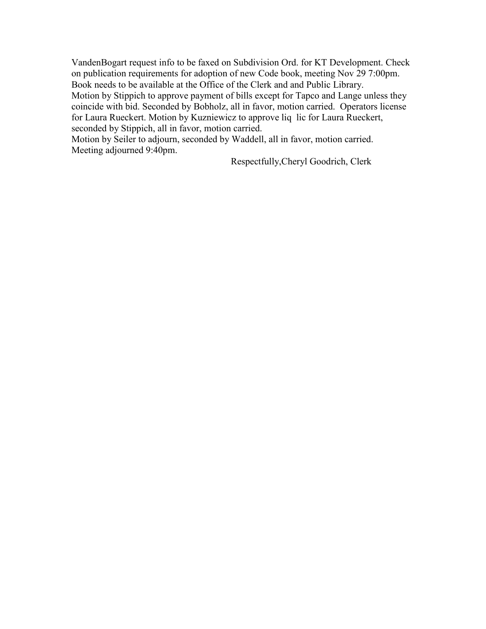VandenBogart request info to be faxed on Subdivision Ord. for KT Development. Check on publication requirements for adoption of new Code book, meeting Nov 29 7:00pm. Book needs to be available at the Office of the Clerk and and Public Library.

Motion by Stippich to approve payment of bills except for Tapco and Lange unless they coincide with bid. Seconded by Bobholz, all in favor, motion carried. Operators license for Laura Rueckert. Motion by Kuzniewicz to approve liq lic for Laura Rueckert, seconded by Stippich, all in favor, motion carried.

Motion by Seiler to adjourn, seconded by Waddell, all in favor, motion carried. Meeting adjourned 9:40pm.

Respectfully,Cheryl Goodrich, Clerk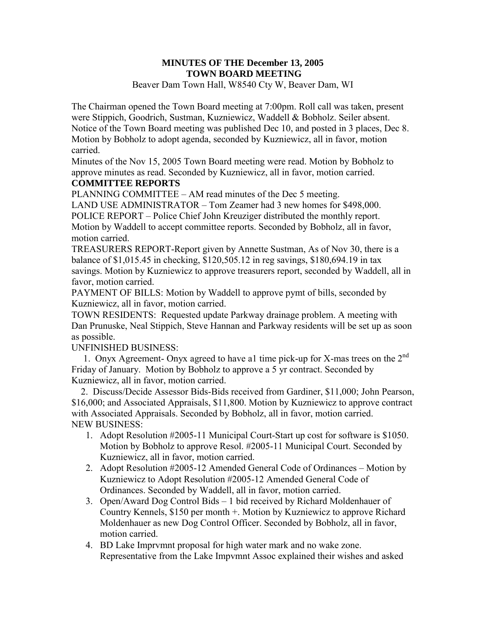#### **MINUTES OF THE December 13, 2005 TOWN BOARD MEETING**  Beaver Dam Town Hall, W8540 Cty W, Beaver Dam, WI

The Chairman opened the Town Board meeting at 7:00pm. Roll call was taken, present were Stippich, Goodrich, Sustman, Kuzniewicz, Waddell & Bobholz. Seiler absent. Notice of the Town Board meeting was published Dec 10, and posted in 3 places, Dec 8. Motion by Bobholz to adopt agenda, seconded by Kuzniewicz, all in favor, motion carried.

Minutes of the Nov 15, 2005 Town Board meeting were read. Motion by Bobholz to approve minutes as read. Seconded by Kuzniewicz, all in favor, motion carried.

# **COMMITTEE REPORTS**

PLANNING COMMITTEE – AM read minutes of the Dec 5 meeting.

LAND USE ADMINISTRATOR – Tom Zeamer had 3 new homes for \$498,000. POLICE REPORT – Police Chief John Kreuziger distributed the monthly report. Motion by Waddell to accept committee reports. Seconded by Bobholz, all in favor, motion carried.

TREASURERS REPORT-Report given by Annette Sustman, As of Nov 30, there is a balance of \$1,015.45 in checking, \$120,505.12 in reg savings, \$180,694.19 in tax savings. Motion by Kuzniewicz to approve treasurers report, seconded by Waddell, all in favor, motion carried.

PAYMENT OF BILLS: Motion by Waddell to approve pymt of bills, seconded by Kuzniewicz, all in favor, motion carried.

TOWN RESIDENTS: Requested update Parkway drainage problem. A meeting with Dan Prunuske, Neal Stippich, Steve Hannan and Parkway residents will be set up as soon as possible.

# UNFINISHED BUSINESS:

1. Onyx Agreement- Onyx agreed to have a1 time pick-up for X-mas trees on the  $2<sup>nd</sup>$ Friday of January. Motion by Bobholz to approve a 5 yr contract. Seconded by Kuzniewicz, all in favor, motion carried.

 2. Discuss/Decide Assessor Bids-Bids received from Gardiner, \$11,000; John Pearson, \$16,000; and Associated Appraisals, \$11,800. Motion by Kuzniewicz to approve contract with Associated Appraisals. Seconded by Bobholz, all in favor, motion carried. NEW BUSINESS:

- 1. Adopt Resolution #2005-11 Municipal Court-Start up cost for software is \$1050. Motion by Bobholz to approve Resol. #2005-11 Municipal Court. Seconded by Kuzniewicz, all in favor, motion carried.
- 2. Adopt Resolution #2005-12 Amended General Code of Ordinances Motion by Kuzniewicz to Adopt Resolution #2005-12 Amended General Code of Ordinances. Seconded by Waddell, all in favor, motion carried.
- 3. Open/Award Dog Control Bids 1 bid received by Richard Moldenhauer of Country Kennels, \$150 per month +. Motion by Kuzniewicz to approve Richard Moldenhauer as new Dog Control Officer. Seconded by Bobholz, all in favor, motion carried.
- 4. BD Lake Imprvmnt proposal for high water mark and no wake zone. Representative from the Lake Impvmnt Assoc explained their wishes and asked